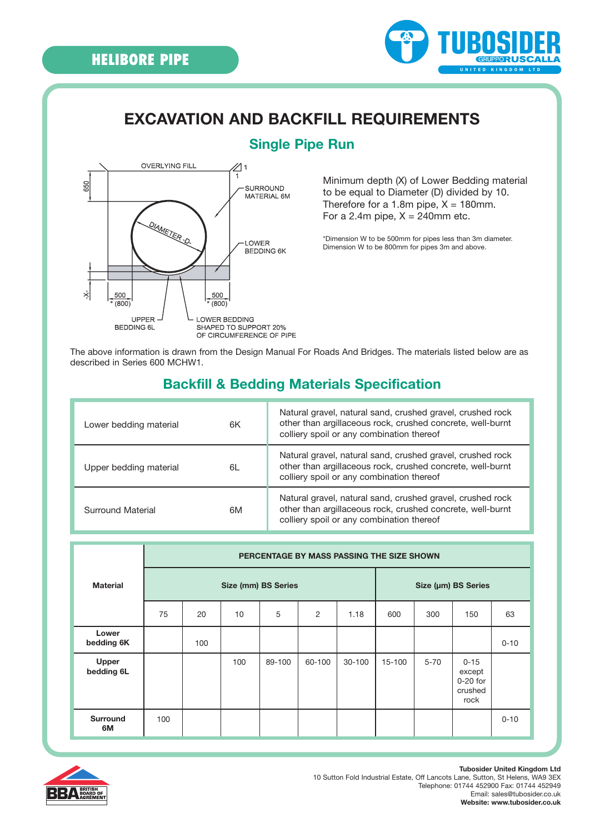650

×

500  $(800)$ 

UPPER

**BEDDING 6L** 



## **EXCAVATION AND BACKFILL REQUIREMENTS**



500

 $(800)$ 

LOWER BEDDING

SHAPED TO SUPPORT 20% OF CIRCUMFERENCE OF PIPE

LOWER BEDDING 6K

#### **Single Pipe Run**

Minimum depth (X) of Lower Bedding material to be equal to Diameter (D) divided by 10. Therefore for a 1.8m pipe,  $X = 180$ mm. For a 2.4m pipe,  $X = 240$ mm etc.

\*Dimension W to be 500mm for pipes less than 3m diameter. Dimension W to be 800mm for pipes 3m and above.

The above information is drawn from the Design Manual For Roads And Bridges. The materials listed below are as described in Series 600 MCHW1.

### **Backfill & Bedding Materials Specification**

| Lower bedding material<br>6K | Natural gravel, natural sand, crushed gravel, crushed rock<br>other than argillaceous rock, crushed concrete, well-burnt<br>colliery spoil or any combination thereof |
|------------------------------|-----------------------------------------------------------------------------------------------------------------------------------------------------------------------|
| Upper bedding material<br>6L | Natural gravel, natural sand, crushed gravel, crushed rock<br>other than argillaceous rock, crushed concrete, well-burnt<br>colliery spoil or any combination thereof |
| Surround Material<br>6M      | Natural gravel, natural sand, crushed gravel, crushed rock<br>other than argillaceous rock, crushed concrete, well-burnt<br>colliery spoil or any combination thereof |

|                       | PERCENTAGE BY MASS PASSING THE SIZE SHOWN |     |     |        |                |        |        |                     |                                                     |          |  |
|-----------------------|-------------------------------------------|-----|-----|--------|----------------|--------|--------|---------------------|-----------------------------------------------------|----------|--|
| <b>Material</b>       | Size (mm) BS Series                       |     |     |        |                |        |        | Size (µm) BS Series |                                                     |          |  |
|                       | 75                                        | 20  | 10  | 5      | $\overline{2}$ | 1.18   | 600    | 300                 | 150                                                 | 63       |  |
| Lower<br>bedding 6K   |                                           | 100 |     |        |                |        |        |                     |                                                     | $0 - 10$ |  |
| Upper<br>bedding 6L   |                                           |     | 100 | 89-100 | 60-100         | 30-100 | 15-100 | $5 - 70$            | $0 - 15$<br>except<br>$0-20$ for<br>crushed<br>rock |          |  |
| <b>Surround</b><br>6M | 100                                       |     |     |        |                |        |        |                     |                                                     | $0 - 10$ |  |